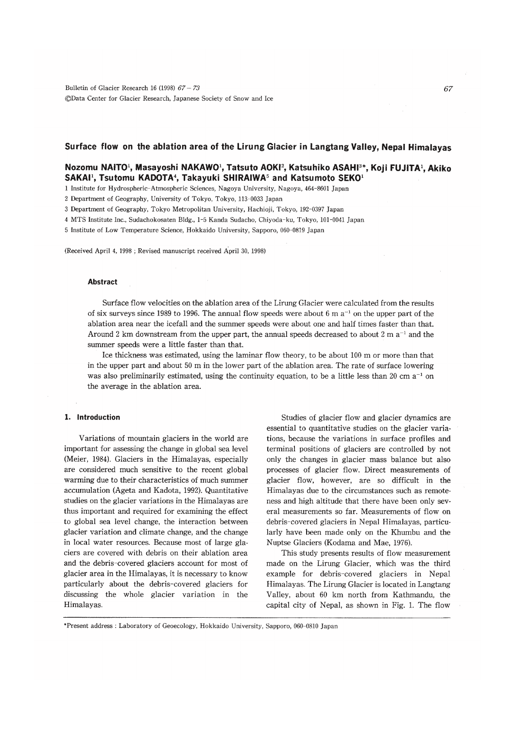# Surface flow on the ablation area of the Lirung Glacier in Langtang Valley, Nepal Himalayas

# Nozomu NAITO<sup>1</sup>, Masayoshi NAKAWO<sup>1</sup>, Tatsuto AOKI<sup>2</sup>, Katsuhiko ASAHI<sup>3\*</sup>, Koji FUJITA<sup>1</sup>, Akiko SAKAI<sup>1</sup>. Tsutomu KADOTA<sup>4</sup>, Takayuki SHIRAIWA<sup>5</sup> and Katsumoto SEKO<sup>1</sup>

1 Institute for Hydrospheric-Atmospheric Sciences, Nagoya University, Nagoya, 464-8601 Japan

2 Department of Geography, University of Tokyo, Tokyo, 113-0033 Japan

3 Department of Geography, Tokyo Metropolitan University, Hachioji, Tokyo, 192-0397 Japan

4 MTS Institute Inc., Sudachokosaten Bldg., 1-5 Kanda Sudacho, Chiyoda-ku, Tokyo, 101-0041 Japan

5 Institute of Low Temperature Science, Hokkaido University, Sapporo, 060-0819 Japan

(Received April 4, 1998; Revised manuscript received April 30, 1998)

### Abstract

Surface flow velocities on the ablation area of the Lirung Glacier were calculated from the results of six surveys since 1989 to 1996. The annual flow speeds were about 6 m  $a^{-1}$  on the upper part of the ablation area near the icefall and the summer speeds were about one and half times faster than that. Around 2 km downstream from the upper part, the annual speeds decreased to about 2 m  $a^{-1}$  and the summer speeds were a little faster than that.

Ice thickness was estimated, using the laminar flow theory, to be about  $100 \text{ m}$  or more than that in the upper part and about 50 m in the lower part of the ablation area. The rate of surface lowering was also preliminarily estimated, using the continuity equation, to be a little less than 20 cm  $a^{-1}$  on the average in the ablation area.

### 1. Introduction

Variations of mountain glaciers in the world are important for assessing the change in global sea level (Meier, 1984). Glaciers in the Himalayas, especially are considered much sensitive to the recent global warming due to their characteristics of much summer accumulation (Ageta and Kadota, 1992). Quantitative studies on the glacier variations in the Himalayas are thus important and required for examining the effect to global sea level change, the interaction between glacier variation and climate change, and the change in local water resources. Because most of large glaciers are covered with debris on their ablation area and the debris-covered glaciers account for most of glacier area in the Himalayas, it is necessary to know particularly about the debris-covered glaciers for discussing the whole glacier variation in the Himalayas.

Studies of glacier flow and glacier dynamics are essential to quantitative studies on the glacier variations, because the variations in surface profiles and terminal positions of glaciers are controlled by not only the changes in glacier mass balance but also processes of glacier flow. Direct measurements of glacier flow, however, are so difficult in the Himalayas due to the circumstances such as remoteness and high altitude that there have been only several measurements so far. Measurements of flow on debris-covered glaciers in Nepal Himalayas, particularly have been made only on the Khumbu and the Nuptse Glaciers (Kodama and Mae, 1976).

This study presents results of flow measurement made on the Lirung Glacier, which was the third example for debris-covered glaciers in Nepal Himalayas. The Lirung Glacier is located in Langtang Valley, about 60 km north from Kathmandu, the capital city of Nepal, as shown in Fig. 1. The flow

\*Present address: Laboratory of Geoecology, Hokkaido University, Sapporo, 060-0810 Japan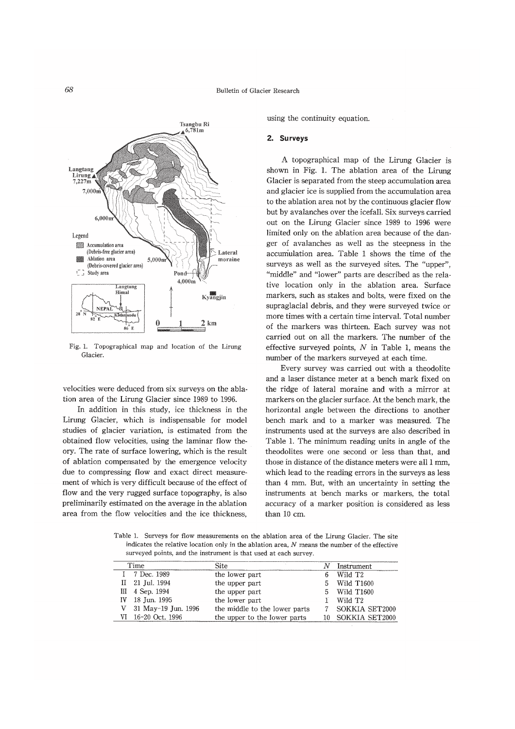

Fig. 1. Topographical map and location of the Lirung Glacier

velocities were deduced from six surveys on the ablation area of the Lirung Glacier since 1989 to 1996.

In addition in this study, ice thickness in the Lirung Glacier, which is indispensable for model studies of glacier variation, is estimated from the obtained flow velocities, using the laminar flow theory. The rate of surface lowering, which is the result of ablation compensated by the emergence velocity due to compressing flow and exact direct measurement of which is very difficult because of the effect of flow and the very rugged surface topography, is also preliminarily estimated on the average in the ablation area from the flow velocities and the ice thickness.

using the continuity equation.

#### 2. Surveys

A topographical map of the Lirung Glacier is shown in Fig. 1. The ablation area of the Lirung Glacier is separated from the steep accumulation area and glacier ice is supplied from the accumulation area to the ablation area not by the continuous glacier flow but by avalanches over the icefall. Six surveys carried out on the Lirung Glacier since 1989 to 1996 were limited only on the ablation area because of the danger of avalanches as well as the steepness in the accumulation area. Table 1 shows the time of the surveys as well as the surveyed sites. The "upper", "middle" and "lower" parts are described as the relative location only in the ablation area. Surface markers, such as stakes and bolts, were fixed on the supraglacial debris, and they were surveyed twice or more times with a certain time interval. Total number of the markers was thirteen. Each survey was not carried out on all the markers. The number of the effective surveyed points,  $N$  in Table 1, means the number of the markers surveyed at each time.

Every survey was carried out with a theodolite and a laser distance meter at a bench mark fixed on the ridge of lateral moraine and with a mirror at markers on the glacier surface. At the bench mark, the horizontal angle between the directions to another bench mark and to a marker was measured. The instruments used at the surveys are also described in Table 1. The minimum reading units in angle of the theodolites were one second or less than that, and those in distance of the distance meters were all 1 mm. which lead to the reading errors in the surveys as less than 4 mm. But, with an uncertainty in setting the instruments at bench marks or markers, the total accuracy of a marker position is considered as less than 10 cm.

Table 1. Surveys for flow measurements on the ablation area of the Lirung Glacier. The site indicates the relative location only in the ablation area,  $N$  means the number of the effective surveyed points, and the instrument is that used at each survey.

| Time |                     | Site                          |    | Instrument          |  |
|------|---------------------|-------------------------------|----|---------------------|--|
|      | 7 Dec. 1989         | the lower part                |    | Wild T <sub>2</sub> |  |
|      | II 21 Jul. 1994     | the upper part                |    | Wild T1600          |  |
|      | III 4 Sep. 1994     | the upper part                | 5. | Wild T1600          |  |
|      | IV 18 Jun. 1995     | the lower part                |    | Wild T <sub>2</sub> |  |
|      | 31 May-19 Jun. 1996 | the middle to the lower parts |    | SOKKIA SET2000      |  |
|      | VI 16-20 Oct. 1996  | the upper to the lower parts  |    | SOKKIA SET2000      |  |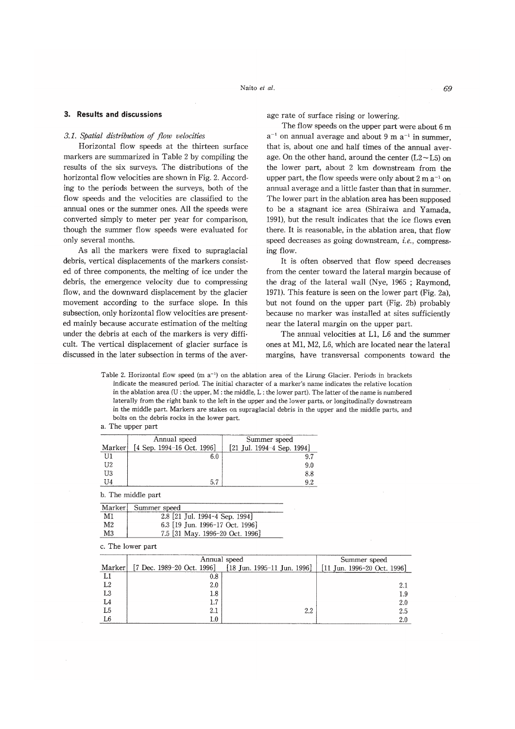## 3.1. Spatial distribution of flow velocities

Horizontal flow speeds at the thirteen surface markers are summarized in Table 2 by compiling the results of the six surveys. The distributions of the horizontal flow velocities are shown in Fig. 2. According to the periods between the surveys, both of the flow speeds and the velocities are classified to the annual ones or the summer ones. All the speeds were converted simply to meter per year for comparison, though the summer flow speeds were evaluated for only several months.

As all the markers were fixed to supraglacial debris, vertical displacements of the markers consisted of three components, the melting of ice under the debris, the emergence velocity due to compressing flow, and the downward displacement by the glacier movement according to the surface slope. In this subsection, only horizontal flow velocities are presented mainly because accurate estimation of the melting under the debris at each of the markers is very difficult. The vertical displacement of glacier surface is discussed in the later subsection in terms of the average rate of surface rising or lowering.

The flow speeds on the upper part were about 6 m  $a^{-1}$  on annual average and about 9 m  $a^{-1}$  in summer. that is, about one and half times of the annual average. On the other hand, around the center  $(L2-L5)$  on the lower part, about 2 km downstream from the upper part, the flow speeds were only about 2 m  $a^{-1}$  on annual average and a little faster than that in summer. The lower part in the ablation area has been supposed to be a stagnant ice area (Shiraiwa and Yamada, 1991), but the result indicates that the ice flows even there. It is reasonable, in the ablation area, that flow speed decreases as going downstream, *i.e.*, compressing flow.

It is often observed that flow speed decreases from the center toward the lateral margin because of the drag of the lateral wall (Nve, 1965; Raymond, 1971). This feature is seen on the lower part (Fig. 2a), but not found on the upper part (Fig. 2b) probably because no marker was installed at sites sufficiently near the lateral margin on the upper part.

The annual velocities at L1, L6 and the summer ones at M1, M2, L6, which are located near the lateral margins, have transversal components toward the

Table 2. Horizontal flow speed (m  $a^{-1}$ ) on the ablation area of the Lirung Glacier. Periods in brackets indicate the measured period. The initial character of a marker's name indicates the relative location in the ablation area  $(U:$  the upper,  $M:$  the middle,  $L:$  the lower part). The latter of the name is numbered laterally from the right bank to the left in the upper and the lower parts, or longitudinally downstream in the middle part. Markers are stakes on supraglacial debris in the upper and the middle parts, and bolts on the debris rocks in the lower part.

a. The upper part

|        | Annual speed                 | Summer speed               |  |  |
|--------|------------------------------|----------------------------|--|--|
| Marker | $[4$ Sep. 1994-16 Oct. 1996] | [21 Jul. 1994-4 Sep. 1994] |  |  |
| UI1    | 6.0                          | 9.7                        |  |  |
| U2     |                              | 9.0                        |  |  |
| UЗ     |                              | 8.8                        |  |  |
| 11     | 57                           | 92                         |  |  |

b. The middle part

| Marker         | Summer speed                    |  |
|----------------|---------------------------------|--|
| M1             | 2.8 [21 Jul. 1994-4 Sep. 1994]  |  |
| M <sub>2</sub> | 6.3 [19 Jun. 1996-17 Oct. 1996] |  |
| M3             | 7.5 [31 May. 1996-20 Oct. 1996] |  |

c. The lower part

|                | Annual speed | Summer speed                                                                                                                                     |     |  |
|----------------|--------------|--------------------------------------------------------------------------------------------------------------------------------------------------|-----|--|
| Marker         |              | $[7 \text{ Dec. } 1989-20 \text{ Oct. } 1996]$ $[18 \text{ Jun. } 1995-11 \text{ Jun. } 1996]$   $[11 \text{ Jun. } 1996-20 \text{ Oct. } 1996]$ |     |  |
|                | $0.8\,$      |                                                                                                                                                  |     |  |
| L2             | 2.0          |                                                                                                                                                  | 2.1 |  |
| L <sub>3</sub> | 1.8          |                                                                                                                                                  | 1.9 |  |
|                | 1.7          |                                                                                                                                                  | 2.0 |  |
| L <sub>5</sub> | 2.1          | 2.2                                                                                                                                              | 2.5 |  |
| L6             | 1.0          |                                                                                                                                                  | 2.0 |  |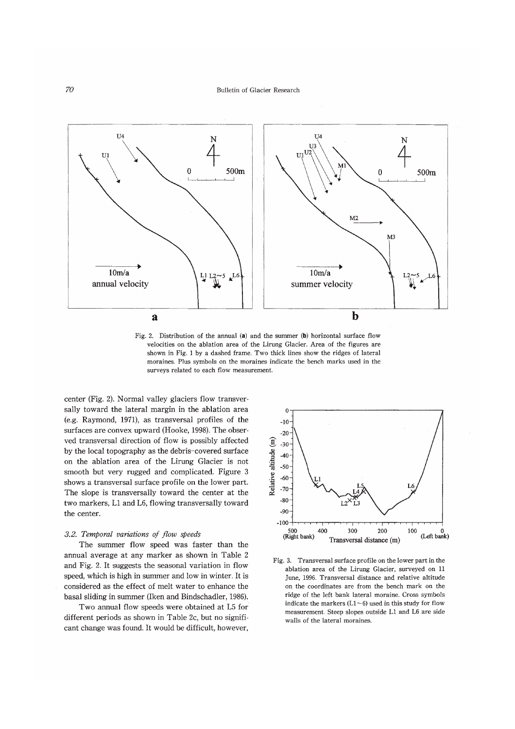

Fig. 2. Distribution of the annual (a) and the summer (b) horizontal surface flow velocities on the ablation area of the Lirung Glacier. Area of the figures are shown in Fig. 1 by a dashed frame. Two thick lines show the ridges of lateral moraines. Plus symbols on the moraines indicate the bench marks used in the surveys related to each flow measurement.

center (Fig. 2). Normal valley glaciers flow transversally toward the lateral margin in the ablation area (e.g. Raymond, 1971), as transversal profiles of the surfaces are convex upward (Hooke, 1998). The observed transversal direction of flow is possibly affected by the local topography as the debris-covered surface on the ablation area of the Lirung Glacier is not smooth but very rugged and complicated. Figure 3 shows a transversal surface profile on the lower part. The slope is transversally toward the center at the two markers, L1 and L6, flowing transversally toward the center.

#### 3.2. Temporal variations of flow speeds

The summer flow speed was faster than the annual average at any marker as shown in Table 2 and Fig. 2. It suggests the seasonal variation in flow speed, which is high in summer and low in winter. It is considered as the effect of melt water to enhance the basal sliding in summer (Iken and Bindschadler, 1986).

Two annual flow speeds were obtained at L5 for different periods as shown in Table 2c, but no significant change was found. It would be difficult, however,



Fig. 3. Transversal surface profile on the lower part in the ablation area of the Lirung Glacier, surveyed on 11 June, 1996. Transversal distance and relative altitude on the coordinates are from the bench mark on the ridge of the left bank lateral moraine. Cross symbols indicate the markers  $(L1 \sim 6)$  used in this study for flow measurement. Steep slopes outside L1 and L6 are side walls of the lateral moraines.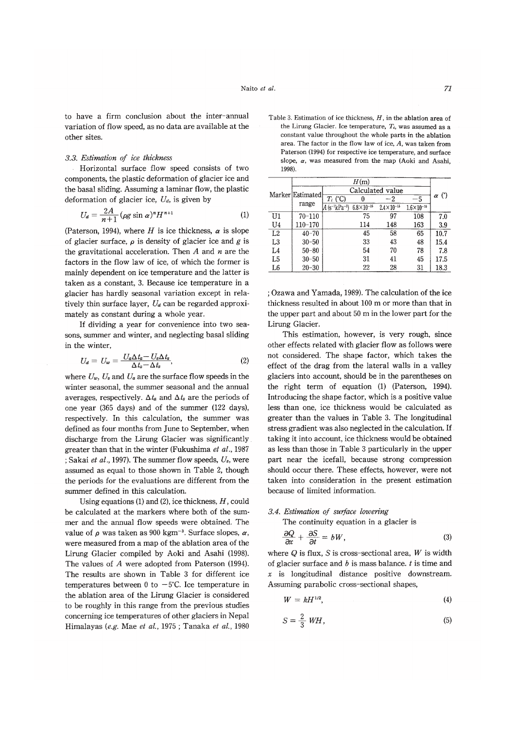to have a firm conclusion about the inter-annual variation of flow speed, as no data are available at the other sites.

#### 3.3. Estimation of ice thickness

Horizontal surface flow speed consists of two components, the plastic deformation of glacier ice and the basal sliding. Assuming a laminar flow, the plastic deformation of glacier ice,  $U_d$ , is given by

$$
U_a = \frac{2A}{n+1} \left(\rho g \sin \alpha\right)^n H^{n+1} \tag{1}
$$

(Paterson, 1994), where H is ice thickness,  $\alpha$  is slope of glacier surface,  $\rho$  is density of glacier ice and g is the gravitational acceleration. Then  $A$  and  $n$  are the factors in the flow law of ice, of which the former is mainly dependent on ice temperature and the latter is taken as a constant, 3. Because ice temperature in a glacier has hardly seasonal variation except in relatively thin surface layer,  $U_a$  can be regarded approximately as constant during a whole year.

If dividing a year for convenience into two seasons, summer and winter, and neglecting basal sliding in the winter,

$$
U_d = U_w = \frac{U_a \Delta t_a - U_s \Delta t_s}{\Delta t_a - \Delta t_s},\tag{2}
$$

where  $U_w$ ,  $U_s$  and  $U_a$  are the surface flow speeds in the winter seasonal, the summer seasonal and the annual averages, respectively.  $\Delta t_a$  and  $\Delta t_s$  are the periods of one year (365 days) and of the summer (122 days), respectively. In this calculation, the summer was defined as four months from June to September, when discharge from the Lirung Glacier was significantly greater than that in the winter (Fukushima et al., 1987 ; Sakai et al., 1997). The summer flow speeds,  $U_s$ , were assumed as equal to those shown in Table 2, though the periods for the evaluations are different from the summer defined in this calculation.

Using equations (1) and (2), ice thickness,  $H$ , could be calculated at the markers where both of the summer and the annual flow speeds were obtained. The value of  $\rho$  was taken as 900 kgm<sup>-3</sup>. Surface slopes,  $\alpha$ , were measured from a map of the ablation area of the Lirung Glacier compiled by Aoki and Asahi (1998). The values of A were adopted from Paterson (1994). The results are shown in Table 3 for different ice temperatures between 0 to  $-5^{\circ}$ C. Ice temperature in the ablation area of the Lirung Glacier is considered to be roughly in this range from the previous studies concerning ice temperatures of other glaciers in Nepal Himalayas (e.g. Mae et al., 1975; Tanaka et al., 1980

Table 3. Estimation of ice thickness,  $H$ , in the ablation area of the Lirung Glacier. Ice temperature,  $T_i$ , was assumed as a constant value throughout the whole parts in the ablation area. The factor in the flow law of ice,  $A$ , was taken from Paterson (1994) for respective ice temperature, and surface slope,  $\alpha$ , was measured from the map (Aoki and Asahi, 1998)

|                | H(m)                      |                                                                |     |                       |                       |              |
|----------------|---------------------------|----------------------------------------------------------------|-----|-----------------------|-----------------------|--------------|
|                | Marker Estimated<br>range | Calculated value                                               |     |                       |                       |              |
|                |                           | $\overline{T_i$ (°C)                                           |     | $-2$                  | -5                    | $\alpha$ (°) |
|                |                           | $A$ (s <sup>-1</sup> kPa <sup>-3</sup> ) 6.8×10 <sup>-15</sup> |     | $2.4 \times 10^{-15}$ | $1.6 \times 10^{-15}$ |              |
| U1             | $70 - 110$                |                                                                | 75  | 97                    | 108                   | 7.0          |
| U4             | 110-170                   |                                                                | 114 | 148                   | 163                   | 3.9          |
| L2             | $40 - 70$                 |                                                                | 45  | 58                    | 65                    | 10.7         |
| L <sub>3</sub> | $30 - 50$                 |                                                                | 33  | 43                    | 48                    | 15.4         |
| L4             | $50 - 80$                 |                                                                | 54  | 70                    | 78                    | 7.8          |
| L5             | $30 - 50$                 |                                                                | 31  | 41                    | 45                    | 17.5         |
| L6             | $20 - 30$                 |                                                                | 22  | 28                    | 31                    | 18.3         |

; Ozawa and Yamada, 1989). The calculation of the ice thickness resulted in about 100 m or more than that in the upper part and about 50 m in the lower part for the Lirung Glacier.

This estimation, however, is very rough, since other effects related with glacier flow as follows were not considered. The shape factor, which takes the effect of the drag from the lateral walls in a valley glaciers into account, should be in the parentheses on the right term of equation (1) (Paterson, 1994). Introducing the shape factor, which is a positive value less than one, ice thickness would be calculated as greater than the values in Table 3. The longitudinal stress gradient was also neglected in the calculation. If taking it into account, ice thickness would be obtained as less than those in Table 3 particularly in the upper part near the icefall, because strong compression should occur there. These effects, however, were not taken into consideration in the present estimation because of limited information.

#### 3.4. Estimation of surface lowering

 $\epsilon$ 

The continuity equation in a glacier is

$$
\frac{\partial Q}{\partial x} + \frac{\partial S}{\partial t} = bW,\tag{3}
$$

where  $Q$  is flux,  $S$  is cross-sectional area,  $W$  is width of glacier surface and  $b$  is mass balance.  $t$  is time and  $x$  is longitudinal distance positive downstream. Assuming parabolic cross-sectional shapes,

$$
W = kH^{1/2}, \tag{4}
$$

$$
S = \frac{2}{3} \text{ WH},\tag{5}
$$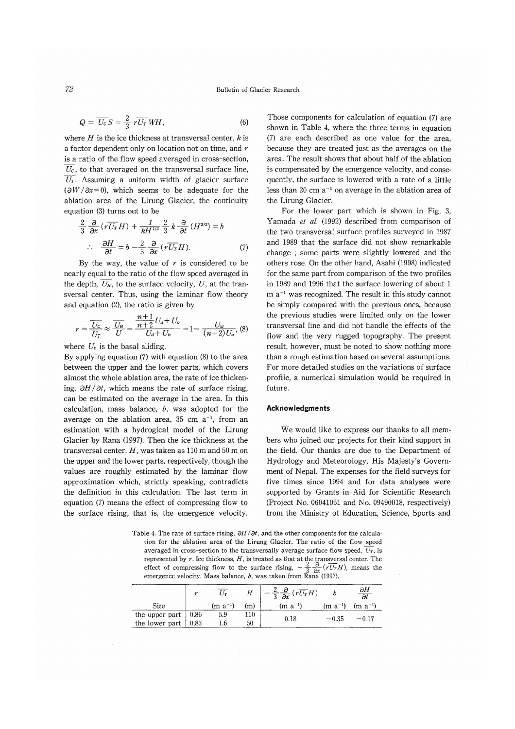$$
Q = \overline{U_c} S = \frac{2}{2} r \overline{U_T} W H, \qquad (6)
$$

where  $H$  is the ice thickness at transversal center,  $k$  is a factor dependent only on location not on time, and  $r$ is a ratio of the flow speed averaged in cross-section.  $\overline{U_c}$ , to that averaged on the transversal surface line,  $\overline{U}_T$ . Assuming a uniform width of glacier surface  $(\partial W/\partial x=0)$ , which seems to be adequate for the ablation area of the Lirung Glacier, the continuity equation (3) turns out to be

$$
\frac{2}{3} \frac{\partial}{\partial x} \left( r \overline{U_T} H \right) + \frac{1}{k H^{1/2}} \frac{2}{3} k \frac{\partial}{\partial t} \left( H^{3/2} \right) = b
$$
  
 
$$
\therefore \frac{\partial H}{\partial t} = b - \frac{2}{3} \frac{\partial}{\partial x} \left( r \overline{U_T} H \right). \tag{7}
$$

By the way, the value of  $r$  is considered to be nearly equal to the ratio of the flow speed averaged in the depth,  $\overline{U_H}$ , to the surface velocity, U, at the transversal center. Thus, using the laminar flow theory and equation  $(2)$ , the ratio is given by

$$
r = \frac{\overline{U_c}}{\overline{U_r}} \approx \frac{\overline{U_H}}{\overline{U}} = \frac{\frac{n+1}{n+2} U_d + U_b}{U_d + U_b} = 1 - \frac{U_w}{(n+2)U_a}, \tag{8}
$$

where  $U_b$  is the basal sliding.

By applying equation  $(7)$  with equation  $(8)$  to the area between the upper and the lower parts, which covers almost the whole ablation area, the rate of ice thickening,  $\partial H/\partial t$ , which means the rate of surface rising, can be estimated on the average in the area. In this calculation, mass balance,  $b$ , was adopted for the average on the ablation area, 35 cm  $a^{-1}$ , from an estimation with a hydrogical model of the Lirung Glacier by Rana (1997). Then the ice thickness at the transversal center,  $H$ , was taken as 110 m and 50 m on the upper and the lower parts, respectively, though the values are roughly estimated by the laminar flow approximation which, strictly speaking, contradicts the definition in this calculation. The last term in equation (7) means the effect of compressing flow to the surface rising, that is, the emergence velocity.

Those components for calculation of equation (7) are shown in Table 4, where the three terms in equation (7) are each described as one value for the area, because they are treated just as the averages on the area. The result shows that about half of the ablation is compensated by the emergence velocity, and consequently, the surface is lowered with a rate of a little less than 20 cm  $a^{-1}$  on average in the ablation area of the Lirung Glacier.

For the lower part which is shown in Fig. 3. Yamada et al. (1992) described from comparison of the two transversal surface profiles surveyed in 1987 and 1989 that the surface did not show remarkable change; some parts were slightly lowered and the others rose. On the other hand, Asahi (1998) indicated for the same part from comparison of the two profiles in 1989 and 1996 that the surface lowering of about 1  $m a^{-1}$  was recognized. The result in this study cannot be simply compared with the previous ones, because the previous studies were limited only on the lower transversal line and did not handle the effects of the flow and the very rugged topography. The present result, however, must be noted to show nothing more than a rough estimation based on several assumptions. For more detailed studies on the variations of surface profile, a numerical simulation would be required in future.

# **Acknowledgments**

We would like to express our thanks to all members who joined our projects for their kind support in the field. Our thanks are due to the Department of Hydrology and Meteorology, His Majesty's Government of Nepal. The expenses for the field surveys for five times since 1994 and for data analyses were supported by Grants-in-Aid for Scientific Research (Project No. 06041051 and No. 09490018, respectively) from the Ministry of Education, Science, Sports and

Table 4. The rate of surface rising,  $\partial H/\partial t$ , and the other components for the calculation for the ablation area of the Lirung Glacier. The ratio of the flow speed averaged in cross-section to the transversally average surface flow speed,  $U_r$ , is represented by r. Ice thickness, H, is treated as that at the transversal center. The effect of compressing flow to the surface rising,  $-\frac{2}{3}\frac{\partial}{\partial x}(\overline{vU_T}H)$ , means the emergence velocity. Mass balance, b, was taken

|                                                             |              |    | $-\frac{2}{3}\frac{\partial}{\partial x}(\overline{rU_T}H)$ |              | $\frac{\partial H}{\partial t}$ |
|-------------------------------------------------------------|--------------|----|-------------------------------------------------------------|--------------|---------------------------------|
| Site                                                        | $(m a^{-1})$ | m  | $(m a^{-1})$                                                | $(m a^{-1})$ | $(m a^{-1})$                    |
| the upper part $\begin{bmatrix} 0.86 \\ 0.83 \end{bmatrix}$ | 5.9          | 10 | 0.18                                                        | $-0.35$      |                                 |
|                                                             | 1.6          | 50 |                                                             |              |                                 |